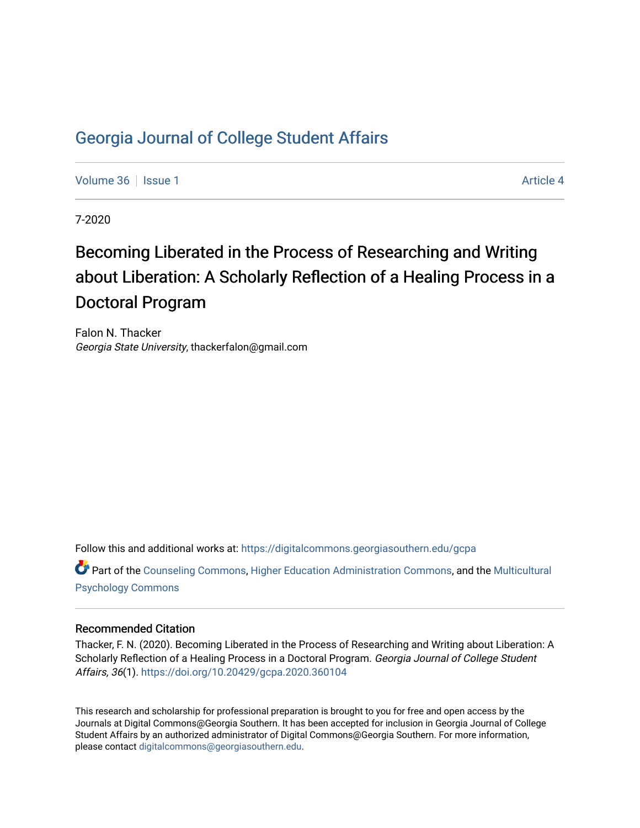# [Georgia Journal of College Student Affairs](https://digitalcommons.georgiasouthern.edu/gcpa)

[Volume 36](https://digitalcommons.georgiasouthern.edu/gcpa/vol36) | [Issue 1](https://digitalcommons.georgiasouthern.edu/gcpa/vol36/iss1) Article 4

7-2020

# Becoming Liberated in the Process of Researching and Writing about Liberation: A Scholarly Reflection of a Healing Process in a Doctoral Program

Falon N. Thacker Georgia State University, thackerfalon@gmail.com

Follow this and additional works at: [https://digitalcommons.georgiasouthern.edu/gcpa](https://digitalcommons.georgiasouthern.edu/gcpa?utm_source=digitalcommons.georgiasouthern.edu%2Fgcpa%2Fvol36%2Fiss1%2F4&utm_medium=PDF&utm_campaign=PDFCoverPages) 

Part of the [Counseling Commons,](http://network.bepress.com/hgg/discipline/1268?utm_source=digitalcommons.georgiasouthern.edu%2Fgcpa%2Fvol36%2Fiss1%2F4&utm_medium=PDF&utm_campaign=PDFCoverPages) [Higher Education Administration Commons](http://network.bepress.com/hgg/discipline/791?utm_source=digitalcommons.georgiasouthern.edu%2Fgcpa%2Fvol36%2Fiss1%2F4&utm_medium=PDF&utm_campaign=PDFCoverPages), and the [Multicultural](http://network.bepress.com/hgg/discipline/1237?utm_source=digitalcommons.georgiasouthern.edu%2Fgcpa%2Fvol36%2Fiss1%2F4&utm_medium=PDF&utm_campaign=PDFCoverPages)  [Psychology Commons](http://network.bepress.com/hgg/discipline/1237?utm_source=digitalcommons.georgiasouthern.edu%2Fgcpa%2Fvol36%2Fiss1%2F4&utm_medium=PDF&utm_campaign=PDFCoverPages) 

#### Recommended Citation

Thacker, F. N. (2020). Becoming Liberated in the Process of Researching and Writing about Liberation: A Scholarly Reflection of a Healing Process in a Doctoral Program. Georgia Journal of College Student Affairs, 36(1).<https://doi.org/10.20429/gcpa.2020.360104>

This research and scholarship for professional preparation is brought to you for free and open access by the Journals at Digital Commons@Georgia Southern. It has been accepted for inclusion in Georgia Journal of College Student Affairs by an authorized administrator of Digital Commons@Georgia Southern. For more information, please contact [digitalcommons@georgiasouthern.edu.](mailto:digitalcommons@georgiasouthern.edu)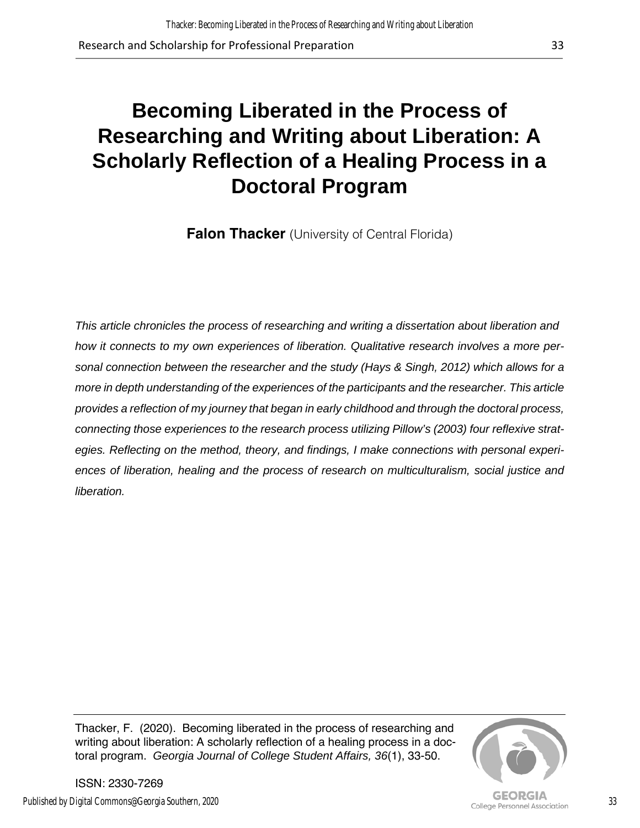# **Becoming Liberated in the Process of Researching and Writing about Liberation: A Scholarly Reflection of a Healing Process in a Doctoral Program**

**Falon Thacker** (University of Central Florida)

*This article chronicles the process of researching and writing a dissertation about liberation and how it connects to my own experiences of liberation. Qualitative research involves a more personal connection between the researcher and the study (Hays & Singh, 2012) which allows for a more in depth understanding of the experiences of the participants and the researcher. This article provides a reflection of my journey that began in early childhood and through the doctoral process, connecting those experiences to the research process utilizing Pillow's (2003) four reflexive strategies. Reflecting on the method, theory, and findings, I make connections with personal experiences of liberation, healing and the process of research on multiculturalism, social justice and liberation.* 

Thacker, F. (2020). Becoming liberated in the process of researching and writing about liberation: A scholarly reflection of a healing process in a doctoral program. *Georgia Journal of College Student Affairs, 36*(1), 33-50.



33

ISSN: 2330-7269 Published by Digital Commons@Georgia Southern, 2020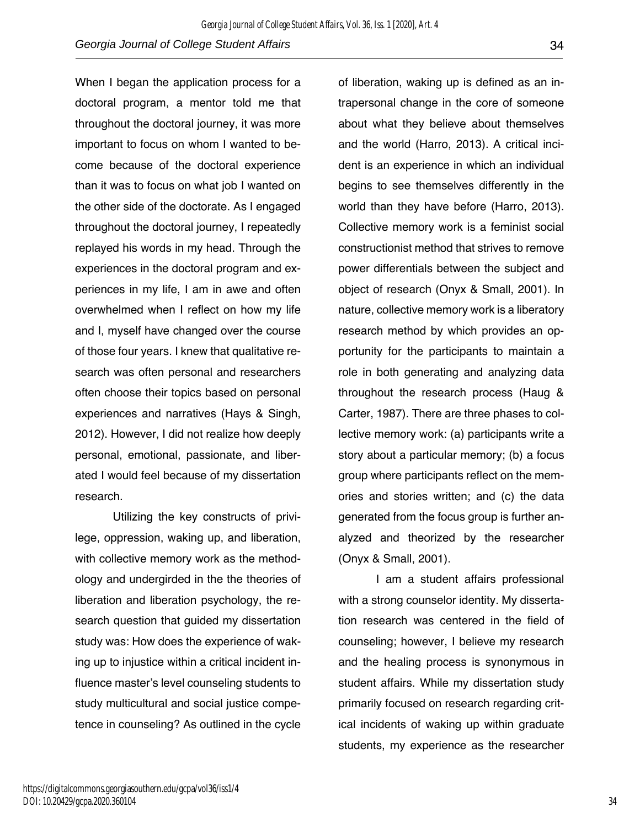When I began the application process for a doctoral program, a mentor told me that throughout the doctoral journey, it was more important to focus on whom I wanted to become because of the doctoral experience than it was to focus on what job I wanted on the other side of the doctorate. As I engaged throughout the doctoral journey, I repeatedly replayed his words in my head. Through the experiences in the doctoral program and experiences in my life, I am in awe and often overwhelmed when I reflect on how my life and I, myself have changed over the course of those four years. I knew that qualitative research was often personal and researchers often choose their topics based on personal experiences and narratives (Hays & Singh, 2012). However, I did not realize how deeply personal, emotional, passionate, and liberated I would feel because of my dissertation research.

Utilizing the key constructs of privilege, oppression, waking up, and liberation, with collective memory work as the methodology and undergirded in the the theories of liberation and liberation psychology, the research question that guided my dissertation study was: How does the experience of waking up to injustice within a critical incident influence master's level counseling students to study multicultural and social justice competence in counseling? As outlined in the cycle

of liberation, waking up is defined as an intrapersonal change in the core of someone about what they believe about themselves and the world (Harro, 2013). A critical incident is an experience in which an individual begins to see themselves differently in the world than they have before (Harro, 2013). Collective memory work is a feminist social constructionist method that strives to remove power differentials between the subject and object of research (Onyx & Small, 2001). In nature, collective memory work is a liberatory research method by which provides an opportunity for the participants to maintain a role in both generating and analyzing data throughout the research process (Haug & Carter, 1987). There are three phases to collective memory work: (a) participants write a story about a particular memory; (b) a focus group where participants reflect on the memories and stories written; and (c) the data generated from the focus group is further analyzed and theorized by the researcher (Onyx & Small, 2001).

I am a student affairs professional with a strong counselor identity. My dissertation research was centered in the field of counseling; however, I believe my research and the healing process is synonymous in student affairs. While my dissertation study primarily focused on research regarding critical incidents of waking up within graduate students, my experience as the researcher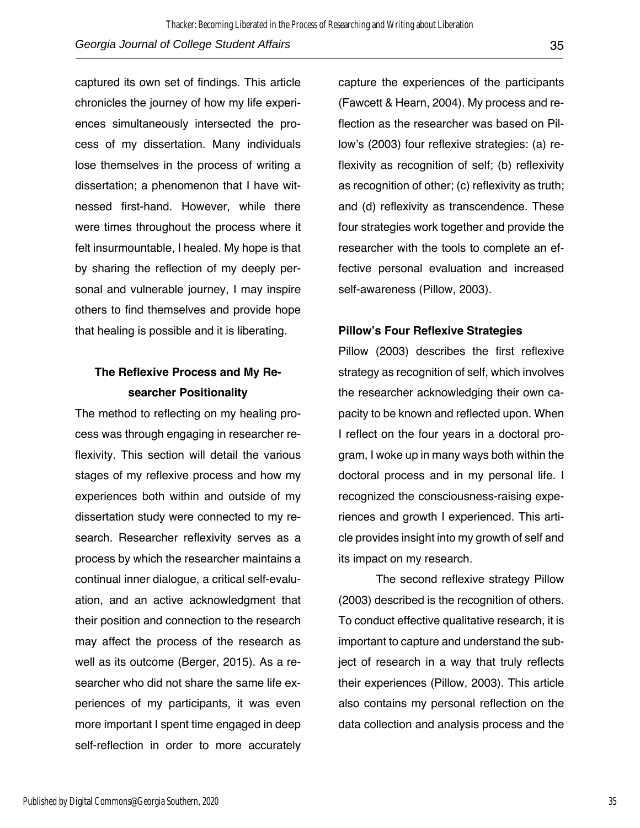captured its own set of findings. This article chronicles the journey of how my life experiences simultaneously intersected the process of my dissertation. Many individuals lose themselves in the process of writing a dissertation; a phenomenon that I have witnessed first-hand. However, while there were times throughout the process where it felt insurmountable, I healed. My hope is that by sharing the reflection of my deeply personal and vulnerable journey, I may inspire others to find themselves and provide hope that healing is possible and it is liberating.

## **The Reflexive Process and My Researcher Positionality**

The method to reflecting on my healing process was through engaging in researcher reflexivity. This section will detail the various stages of my reflexive process and how my experiences both within and outside of my dissertation study were connected to my research. Researcher reflexivity serves as a process by which the researcher maintains a continual inner dialogue, a critical self-evaluation, and an active acknowledgment that their position and connection to the research may affect the process of the research as well as its outcome (Berger, 2015). As a researcher who did not share the same life experiences of my participants, it was even more important I spent time engaged in deep self-reflection in order to more accurately

capture the experiences of the participants (Fawcett & Hearn, 2004). My process and reflection as the researcher was based on Pillow's (2003) four reflexive strategies: (a) reflexivity as recognition of self; (b) reflexivity as recognition of other; (c) reflexivity as truth; and (d) reflexivity as transcendence. These four strategies work together and provide the researcher with the tools to complete an effective personal evaluation and increased self-awareness (Pillow, 2003).

#### **Pillow's Four Reflexive Strategies**

Pillow (2003) describes the first reflexive strategy as recognition of self, which involves the researcher acknowledging their own capacity to be known and reflected upon. When I reflect on the four years in a doctoral program, I woke up in many ways both within the doctoral process and in my personal life. I recognized the consciousness-raising experiences and growth I experienced. This article provides insight into my growth of self and its impact on my research.

The second reflexive strategy Pillow (2003) described is the recognition of others. To conduct effective qualitative research, it is important to capture and understand the subject of research in a way that truly reflects their experiences (Pillow, 2003). This article also contains my personal reflection on the data collection and analysis process and the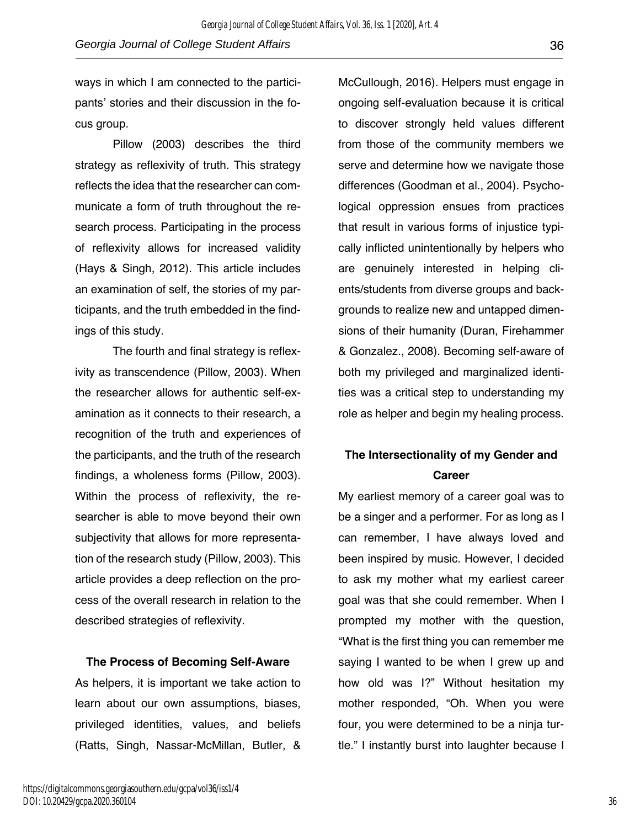ways in which I am connected to the participants' stories and their discussion in the focus group.

Pillow (2003) describes the third strategy as reflexivity of truth. This strategy reflects the idea that the researcher can communicate a form of truth throughout the research process. Participating in the process of reflexivity allows for increased validity (Hays & Singh, 2012). This article includes an examination of self, the stories of my participants, and the truth embedded in the findings of this study.

The fourth and final strategy is reflexivity as transcendence (Pillow, 2003). When the researcher allows for authentic self-examination as it connects to their research, a recognition of the truth and experiences of the participants, and the truth of the research findings, a wholeness forms (Pillow, 2003). Within the process of reflexivity, the researcher is able to move beyond their own subjectivity that allows for more representation of the research study (Pillow, 2003). This article provides a deep reflection on the process of the overall research in relation to the described strategies of reflexivity.

**The Process of Becoming Self-Aware**

As helpers, it is important we take action to learn about our own assumptions, biases, privileged identities, values, and beliefs (Ratts, Singh, Nassar-McMillan, Butler, &

McCullough, 2016). Helpers must engage in ongoing self-evaluation because it is critical to discover strongly held values different from those of the community members we serve and determine how we navigate those differences (Goodman et al., 2004). Psychological oppression ensues from practices that result in various forms of injustice typically inflicted unintentionally by helpers who are genuinely interested in helping clients/students from diverse groups and backgrounds to realize new and untapped dimensions of their humanity (Duran, Firehammer & Gonzalez., 2008). Becoming self-aware of both my privileged and marginalized identities was a critical step to understanding my role as helper and begin my healing process.

## **The Intersectionality of my Gender and Career**

My earliest memory of a career goal was to be a singer and a performer. For as long as I can remember, I have always loved and been inspired by music. However, I decided to ask my mother what my earliest career goal was that she could remember. When I prompted my mother with the question, "What is the first thing you can remember me saying I wanted to be when I grew up and how old was I?" Without hesitation my mother responded, "Oh. When you were four, you were determined to be a ninja turtle." I instantly burst into laughter because I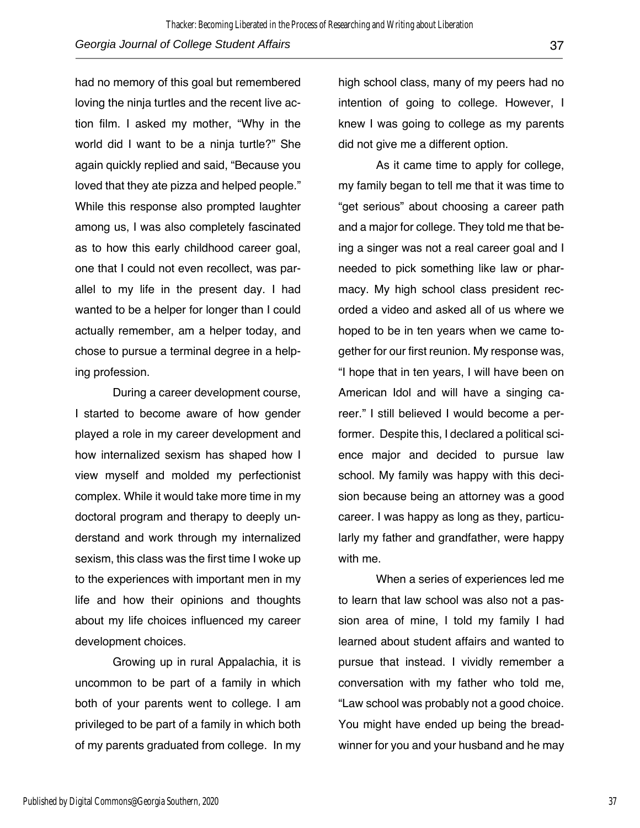had no memory of this goal but remembered loving the ninja turtles and the recent live action film. I asked my mother, "Why in the world did I want to be a ninja turtle?" She again quickly replied and said, "Because you loved that they ate pizza and helped people." While this response also prompted laughter among us, I was also completely fascinated as to how this early childhood career goal, one that I could not even recollect, was parallel to my life in the present day. I had wanted to be a helper for longer than I could actually remember, am a helper today, and chose to pursue a terminal degree in a helping profession.

During a career development course, I started to become aware of how gender played a role in my career development and how internalized sexism has shaped how I view myself and molded my perfectionist complex. While it would take more time in my doctoral program and therapy to deeply understand and work through my internalized sexism, this class was the first time I woke up to the experiences with important men in my life and how their opinions and thoughts about my life choices influenced my career development choices.

Growing up in rural Appalachia, it is uncommon to be part of a family in which both of your parents went to college. I am privileged to be part of a family in which both of my parents graduated from college. In my

high school class, many of my peers had no intention of going to college. However, I knew I was going to college as my parents did not give me a different option.

As it came time to apply for college, my family began to tell me that it was time to "get serious" about choosing a career path and a major for college. They told me that being a singer was not a real career goal and I needed to pick something like law or pharmacy. My high school class president recorded a video and asked all of us where we hoped to be in ten years when we came together for our first reunion. My response was, "I hope that in ten years, I will have been on American Idol and will have a singing career." I still believed I would become a performer. Despite this, I declared a political science major and decided to pursue law school. My family was happy with this decision because being an attorney was a good career. I was happy as long as they, particularly my father and grandfather, were happy with me.

When a series of experiences led me to learn that law school was also not a passion area of mine, I told my family I had learned about student affairs and wanted to pursue that instead. I vividly remember a conversation with my father who told me, "Law school was probably not a good choice. You might have ended up being the breadwinner for you and your husband and he may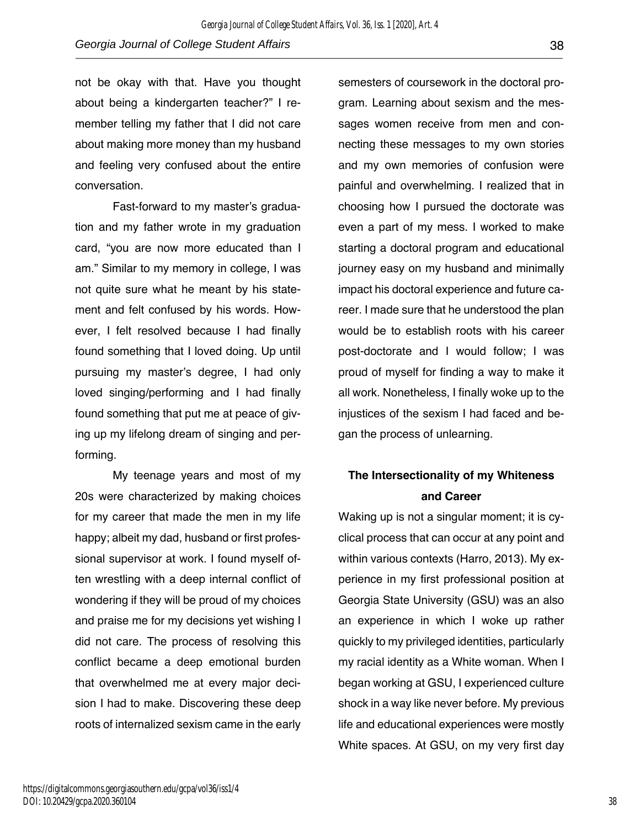not be okay with that. Have you thought about being a kindergarten teacher?" I remember telling my father that I did not care about making more money than my husband and feeling very confused about the entire conversation.

Fast-forward to my master's graduation and my father wrote in my graduation card, "you are now more educated than I am." Similar to my memory in college, I was not quite sure what he meant by his statement and felt confused by his words. However, I felt resolved because I had finally found something that I loved doing. Up until pursuing my master's degree, I had only loved singing/performing and I had finally found something that put me at peace of giving up my lifelong dream of singing and performing.

My teenage years and most of my 20s were characterized by making choices for my career that made the men in my life happy; albeit my dad, husband or first professional supervisor at work. I found myself often wrestling with a deep internal conflict of wondering if they will be proud of my choices and praise me for my decisions yet wishing I did not care. The process of resolving this conflict became a deep emotional burden that overwhelmed me at every major decision I had to make. Discovering these deep roots of internalized sexism came in the early

semesters of coursework in the doctoral program. Learning about sexism and the messages women receive from men and connecting these messages to my own stories and my own memories of confusion were painful and overwhelming. I realized that in choosing how I pursued the doctorate was even a part of my mess. I worked to make starting a doctoral program and educational journey easy on my husband and minimally impact his doctoral experience and future career. I made sure that he understood the plan would be to establish roots with his career post-doctorate and I would follow; I was proud of myself for finding a way to make it all work. Nonetheless, I finally woke up to the injustices of the sexism I had faced and began the process of unlearning.

## **The Intersectionality of my Whiteness and Career**

Waking up is not a singular moment; it is cyclical process that can occur at any point and within various contexts (Harro, 2013). My experience in my first professional position at Georgia State University (GSU) was an also an experience in which I woke up rather quickly to my privileged identities, particularly my racial identity as a White woman. When I began working at GSU, I experienced culture shock in a way like never before. My previous life and educational experiences were mostly White spaces. At GSU, on my very first day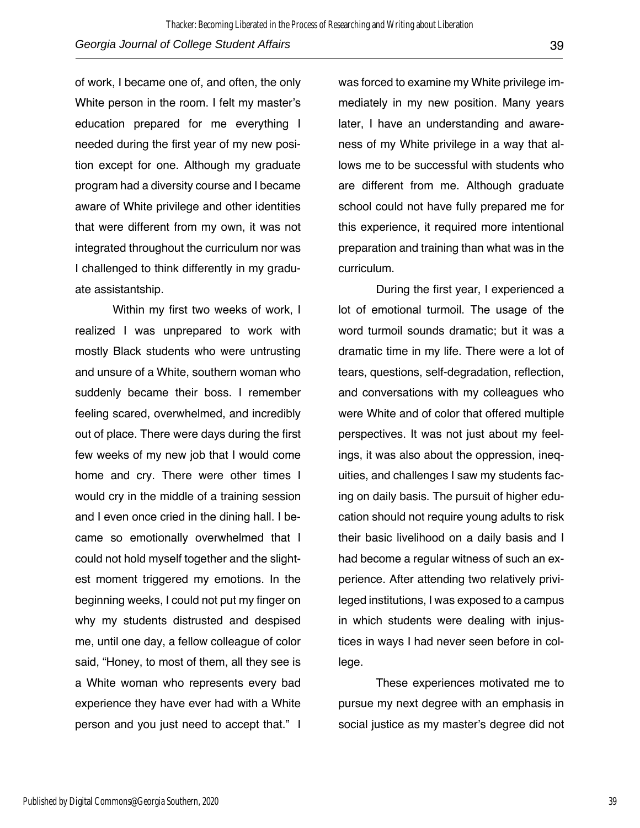of work, I became one of, and often, the only White person in the room. I felt my master's education prepared for me everything I needed during the first year of my new position except for one. Although my graduate program had a diversity course and I became aware of White privilege and other identities that were different from my own, it was not integrated throughout the curriculum nor was I challenged to think differently in my graduate assistantship.

Within my first two weeks of work, I realized I was unprepared to work with mostly Black students who were untrusting and unsure of a White, southern woman who suddenly became their boss. I remember feeling scared, overwhelmed, and incredibly out of place. There were days during the first few weeks of my new job that I would come home and cry. There were other times I would cry in the middle of a training session and I even once cried in the dining hall. I became so emotionally overwhelmed that I could not hold myself together and the slightest moment triggered my emotions. In the beginning weeks, I could not put my finger on why my students distrusted and despised me, until one day, a fellow colleague of color said, "Honey, to most of them, all they see is a White woman who represents every bad experience they have ever had with a White person and you just need to accept that." I was forced to examine my White privilege immediately in my new position. Many years later, I have an understanding and awareness of my White privilege in a way that allows me to be successful with students who are different from me. Although graduate school could not have fully prepared me for this experience, it required more intentional preparation and training than what was in the curriculum.

During the first year, I experienced a lot of emotional turmoil. The usage of the word turmoil sounds dramatic; but it was a dramatic time in my life. There were a lot of tears, questions, self-degradation, reflection, and conversations with my colleagues who were White and of color that offered multiple perspectives. It was not just about my feelings, it was also about the oppression, inequities, and challenges I saw my students facing on daily basis. The pursuit of higher education should not require young adults to risk their basic livelihood on a daily basis and I had become a regular witness of such an experience. After attending two relatively privileged institutions, I was exposed to a campus in which students were dealing with injustices in ways I had never seen before in college.

These experiences motivated me to pursue my next degree with an emphasis in social justice as my master's degree did not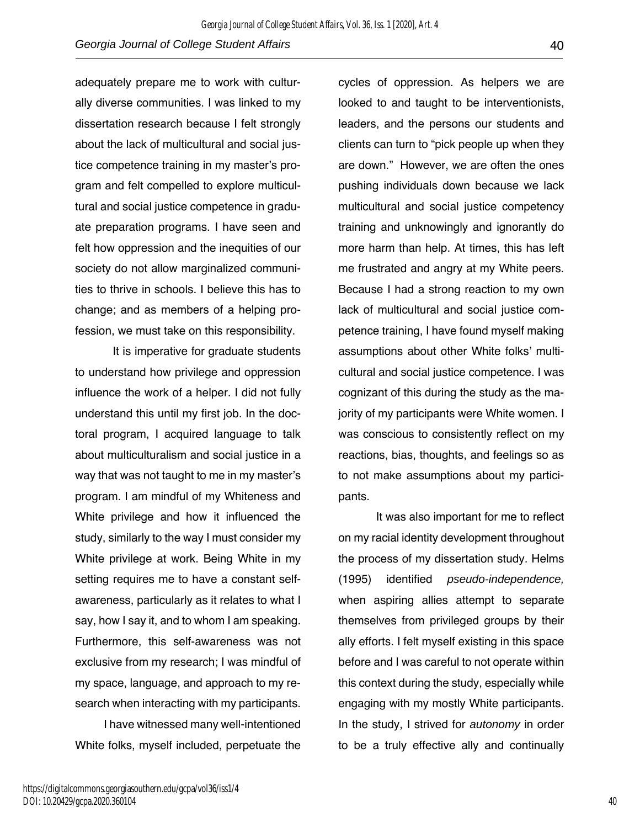adequately prepare me to work with culturally diverse communities. I was linked to my dissertation research because I felt strongly about the lack of multicultural and social justice competence training in my master's program and felt compelled to explore multicultural and social justice competence in graduate preparation programs. I have seen and felt how oppression and the inequities of our society do not allow marginalized communities to thrive in schools. I believe this has to change; and as members of a helping profession, we must take on this responsibility.

It is imperative for graduate students to understand how privilege and oppression influence the work of a helper. I did not fully understand this until my first job. In the doctoral program, I acquired language to talk about multiculturalism and social justice in a way that was not taught to me in my master's program. I am mindful of my Whiteness and White privilege and how it influenced the study, similarly to the way I must consider my White privilege at work. Being White in my setting requires me to have a constant selfawareness, particularly as it relates to what I say, how I say it, and to whom I am speaking. Furthermore, this self-awareness was not exclusive from my research; I was mindful of my space, language, and approach to my research when interacting with my participants.

 I have witnessed many well-intentioned White folks, myself included, perpetuate the

cycles of oppression. As helpers we are looked to and taught to be interventionists, leaders, and the persons our students and clients can turn to "pick people up when they are down." However, we are often the ones pushing individuals down because we lack multicultural and social justice competency training and unknowingly and ignorantly do more harm than help. At times, this has left me frustrated and angry at my White peers. Because I had a strong reaction to my own lack of multicultural and social justice competence training, I have found myself making assumptions about other White folks' multicultural and social justice competence. I was cognizant of this during the study as the majority of my participants were White women. I was conscious to consistently reflect on my reactions, bias, thoughts, and feelings so as to not make assumptions about my participants.

It was also important for me to reflect on my racial identity development throughout the process of my dissertation study. Helms (1995) identified *pseudo-independence,* when aspiring allies attempt to separate themselves from privileged groups by their ally efforts. I felt myself existing in this space before and I was careful to not operate within this context during the study, especially while engaging with my mostly White participants. In the study, I strived for *autonomy* in order to be a truly effective ally and continually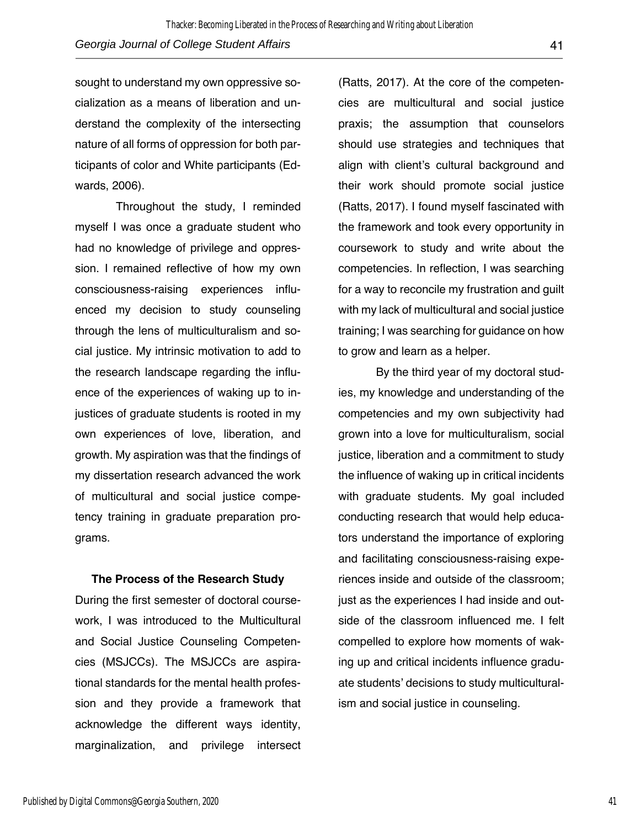sought to understand my own oppressive socialization as a means of liberation and understand the complexity of the intersecting nature of all forms of oppression for both participants of color and White participants (Edwards, 2006).

Throughout the study, I reminded myself I was once a graduate student who had no knowledge of privilege and oppression. I remained reflective of how my own consciousness-raising experiences influenced my decision to study counseling through the lens of multiculturalism and social justice. My intrinsic motivation to add to the research landscape regarding the influence of the experiences of waking up to injustices of graduate students is rooted in my own experiences of love, liberation, and growth. My aspiration was that the findings of my dissertation research advanced the work of multicultural and social justice competency training in graduate preparation programs.

#### **The Process of the Research Study**

During the first semester of doctoral coursework, I was introduced to the Multicultural and Social Justice Counseling Competencies (MSJCCs). The MSJCCs are aspirational standards for the mental health profession and they provide a framework that acknowledge the different ways identity, marginalization, and privilege intersect

(Ratts, 2017). At the core of the competencies are multicultural and social justice praxis; the assumption that counselors should use strategies and techniques that align with client's cultural background and their work should promote social justice (Ratts, 2017). I found myself fascinated with the framework and took every opportunity in coursework to study and write about the competencies. In reflection, I was searching for a way to reconcile my frustration and guilt with my lack of multicultural and social justice training; I was searching for guidance on how to grow and learn as a helper.

By the third year of my doctoral studies, my knowledge and understanding of the competencies and my own subjectivity had grown into a love for multiculturalism, social justice, liberation and a commitment to study the influence of waking up in critical incidents with graduate students. My goal included conducting research that would help educators understand the importance of exploring and facilitating consciousness-raising experiences inside and outside of the classroom; just as the experiences I had inside and outside of the classroom influenced me. I felt compelled to explore how moments of waking up and critical incidents influence graduate students' decisions to study multiculturalism and social justice in counseling.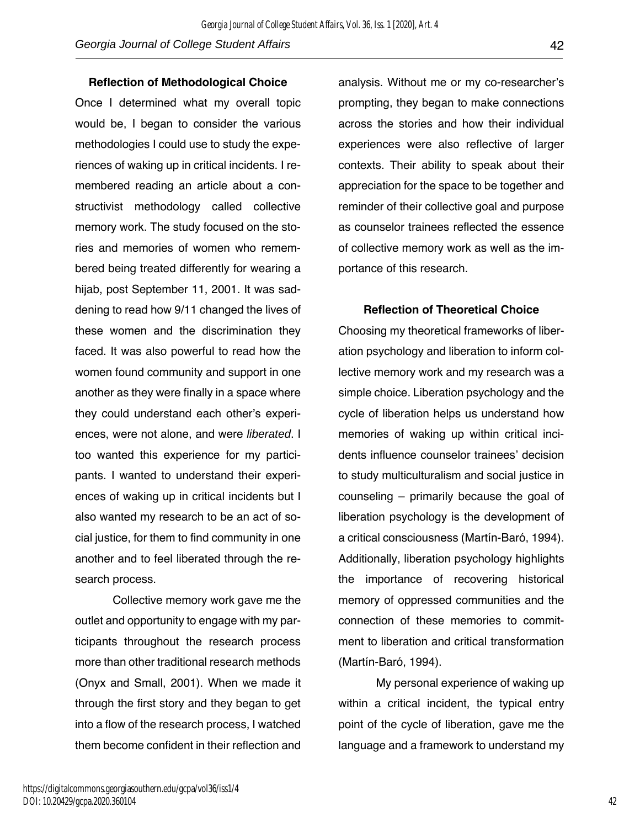**Reflection of Methodological Choice**

Once I determined what my overall topic would be, I began to consider the various methodologies I could use to study the experiences of waking up in critical incidents. I remembered reading an article about a constructivist methodology called collective memory work. The study focused on the stories and memories of women who remembered being treated differently for wearing a hijab, post September 11, 2001. It was saddening to read how 9/11 changed the lives of these women and the discrimination they faced. It was also powerful to read how the women found community and support in one another as they were finally in a space where they could understand each other's experiences, were not alone, and were *liberated*. I too wanted this experience for my participants. I wanted to understand their experiences of waking up in critical incidents but I also wanted my research to be an act of social justice, for them to find community in one another and to feel liberated through the research process.

Collective memory work gave me the outlet and opportunity to engage with my participants throughout the research process more than other traditional research methods (Onyx and Small, 2001). When we made it through the first story and they began to get into a flow of the research process, I watched them become confident in their reflection and analysis. Without me or my co-researcher's prompting, they began to make connections across the stories and how their individual experiences were also reflective of larger contexts. Their ability to speak about their appreciation for the space to be together and reminder of their collective goal and purpose as counselor trainees reflected the essence of collective memory work as well as the importance of this research.

#### **Reflection of Theoretical Choice**

Choosing my theoretical frameworks of liberation psychology and liberation to inform collective memory work and my research was a simple choice. Liberation psychology and the cycle of liberation helps us understand how memories of waking up within critical incidents influence counselor trainees' decision to study multiculturalism and social justice in counseling – primarily because the goal of liberation psychology is the development of a critical consciousness (Martín-Baró, 1994). Additionally, liberation psychology highlights the importance of recovering historical memory of oppressed communities and the connection of these memories to commitment to liberation and critical transformation (Martín-Baró, 1994).

My personal experience of waking up within a critical incident, the typical entry point of the cycle of liberation, gave me the language and a framework to understand my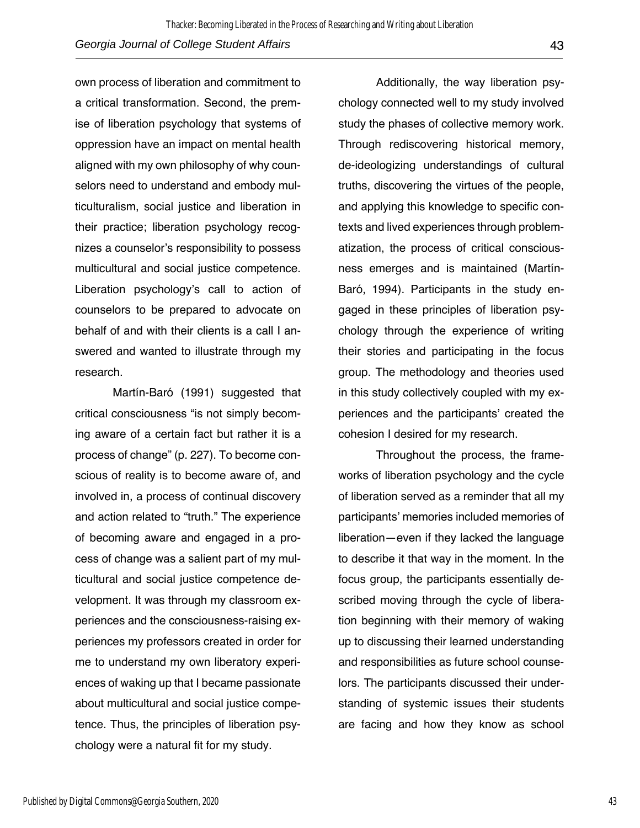own process of liberation and commitment to a critical transformation. Second, the premise of liberation psychology that systems of oppression have an impact on mental health aligned with my own philosophy of why counselors need to understand and embody multiculturalism, social justice and liberation in their practice; liberation psychology recognizes a counselor's responsibility to possess multicultural and social justice competence. Liberation psychology's call to action of counselors to be prepared to advocate on behalf of and with their clients is a call I answered and wanted to illustrate through my research.

Martín-Baró (1991) suggested that critical consciousness "is not simply becoming aware of a certain fact but rather it is a process of change" (p. 227). To become conscious of reality is to become aware of, and involved in, a process of continual discovery and action related to "truth." The experience of becoming aware and engaged in a process of change was a salient part of my multicultural and social justice competence development. It was through my classroom experiences and the consciousness-raising experiences my professors created in order for me to understand my own liberatory experiences of waking up that I became passionate about multicultural and social justice competence. Thus, the principles of liberation psychology were a natural fit for my study.

Additionally, the way liberation psychology connected well to my study involved study the phases of collective memory work. Through rediscovering historical memory, de-ideologizing understandings of cultural truths, discovering the virtues of the people, and applying this knowledge to specific contexts and lived experiences through problematization, the process of critical consciousness emerges and is maintained (Martín-Baró, 1994). Participants in the study engaged in these principles of liberation psychology through the experience of writing their stories and participating in the focus group. The methodology and theories used in this study collectively coupled with my experiences and the participants' created the cohesion I desired for my research.

Throughout the process, the frameworks of liberation psychology and the cycle of liberation served as a reminder that all my participants' memories included memories of liberation—even if they lacked the language to describe it that way in the moment. In the focus group, the participants essentially described moving through the cycle of liberation beginning with their memory of waking up to discussing their learned understanding and responsibilities as future school counselors. The participants discussed their understanding of systemic issues their students are facing and how they know as school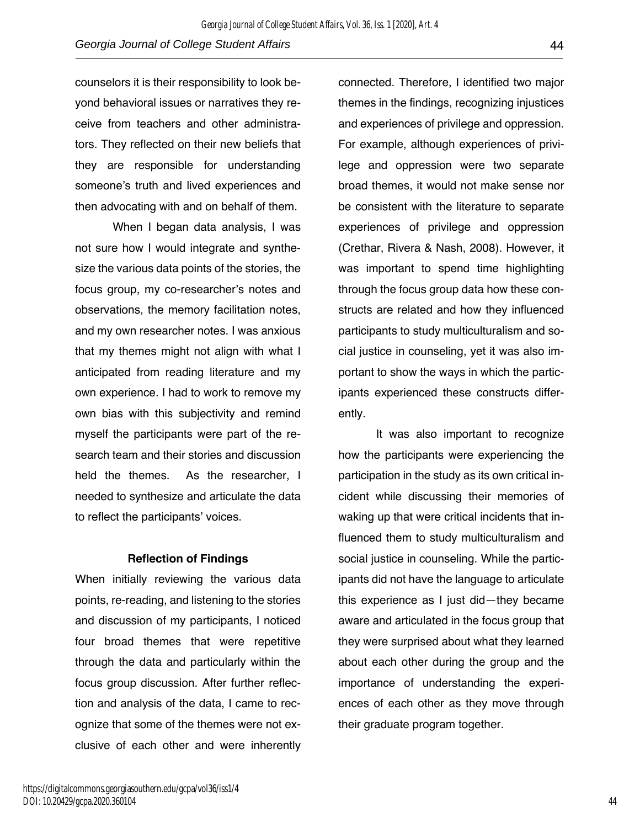counselors it is their responsibility to look beyond behavioral issues or narratives they receive from teachers and other administrators. They reflected on their new beliefs that they are responsible for understanding someone's truth and lived experiences and then advocating with and on behalf of them.

When I began data analysis, I was not sure how I would integrate and synthesize the various data points of the stories, the focus group, my co-researcher's notes and observations, the memory facilitation notes, and my own researcher notes. I was anxious that my themes might not align with what I anticipated from reading literature and my own experience. I had to work to remove my own bias with this subjectivity and remind myself the participants were part of the research team and their stories and discussion held the themes. As the researcher, I needed to synthesize and articulate the data to reflect the participants' voices.

#### **Reflection of Findings**

When initially reviewing the various data points, re-reading, and listening to the stories and discussion of my participants, I noticed four broad themes that were repetitive through the data and particularly within the focus group discussion. After further reflection and analysis of the data, I came to recognize that some of the themes were not exclusive of each other and were inherently

connected. Therefore, I identified two major themes in the findings, recognizing injustices and experiences of privilege and oppression. For example, although experiences of privilege and oppression were two separate broad themes, it would not make sense nor be consistent with the literature to separate experiences of privilege and oppression (Crethar, Rivera & Nash, 2008). However, it was important to spend time highlighting through the focus group data how these constructs are related and how they influenced participants to study multiculturalism and social justice in counseling, yet it was also important to show the ways in which the participants experienced these constructs differently.

It was also important to recognize how the participants were experiencing the participation in the study as its own critical incident while discussing their memories of waking up that were critical incidents that influenced them to study multiculturalism and social justice in counseling. While the participants did not have the language to articulate this experience as I just did—they became aware and articulated in the focus group that they were surprised about what they learned about each other during the group and the importance of understanding the experiences of each other as they move through their graduate program together.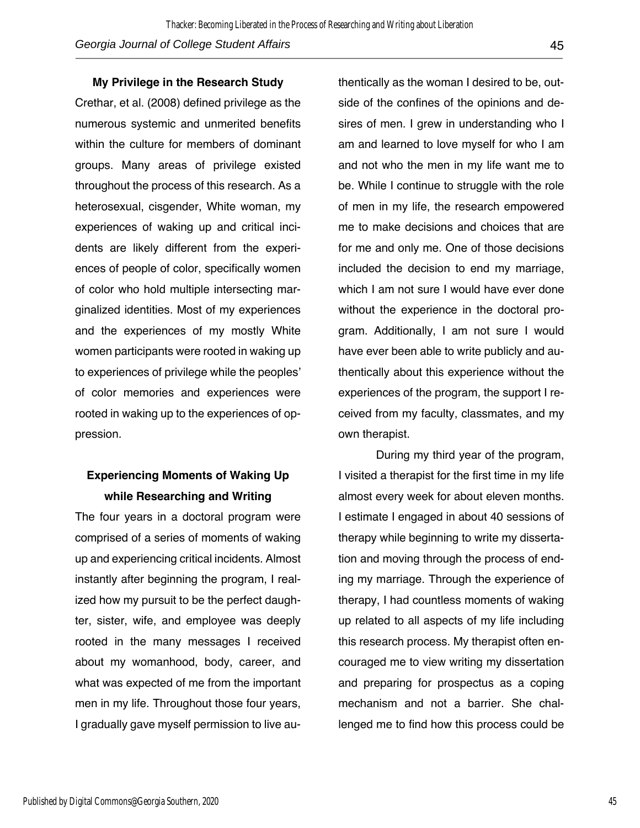#### **My Privilege in the Research Study**

Crethar, et al. (2008) defined privilege as the numerous systemic and unmerited benefits within the culture for members of dominant groups. Many areas of privilege existed throughout the process of this research. As a heterosexual, cisgender, White woman, my experiences of waking up and critical incidents are likely different from the experiences of people of color, specifically women of color who hold multiple intersecting marginalized identities. Most of my experiences and the experiences of my mostly White women participants were rooted in waking up to experiences of privilege while the peoples' of color memories and experiences were rooted in waking up to the experiences of oppression.

### **Experiencing Moments of Waking Up while Researching and Writing**

The four years in a doctoral program were comprised of a series of moments of waking up and experiencing critical incidents. Almost instantly after beginning the program, I realized how my pursuit to be the perfect daughter, sister, wife, and employee was deeply rooted in the many messages I received about my womanhood, body, career, and what was expected of me from the important men in my life. Throughout those four years, I gradually gave myself permission to live authentically as the woman I desired to be, outside of the confines of the opinions and desires of men. I grew in understanding who I am and learned to love myself for who I am and not who the men in my life want me to be. While I continue to struggle with the role of men in my life, the research empowered me to make decisions and choices that are for me and only me. One of those decisions included the decision to end my marriage, which I am not sure I would have ever done without the experience in the doctoral program. Additionally, I am not sure I would have ever been able to write publicly and authentically about this experience without the experiences of the program, the support I received from my faculty, classmates, and my own therapist.

During my third year of the program, I visited a therapist for the first time in my life almost every week for about eleven months. I estimate I engaged in about 40 sessions of therapy while beginning to write my dissertation and moving through the process of ending my marriage. Through the experience of therapy, I had countless moments of waking up related to all aspects of my life including this research process. My therapist often encouraged me to view writing my dissertation and preparing for prospectus as a coping mechanism and not a barrier. She challenged me to find how this process could be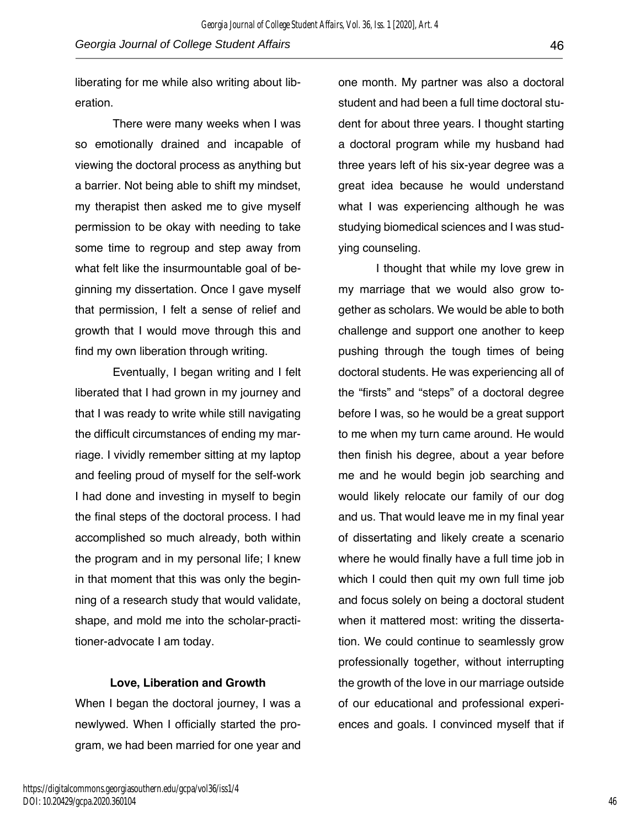liberating for me while also writing about liberation.

There were many weeks when I was so emotionally drained and incapable of viewing the doctoral process as anything but a barrier. Not being able to shift my mindset, my therapist then asked me to give myself permission to be okay with needing to take some time to regroup and step away from what felt like the insurmountable goal of beginning my dissertation. Once I gave myself that permission, I felt a sense of relief and growth that I would move through this and find my own liberation through writing.

Eventually, I began writing and I felt liberated that I had grown in my journey and that I was ready to write while still navigating the difficult circumstances of ending my marriage. I vividly remember sitting at my laptop and feeling proud of myself for the self-work I had done and investing in myself to begin the final steps of the doctoral process. I had accomplished so much already, both within the program and in my personal life; I knew in that moment that this was only the beginning of a research study that would validate, shape, and mold me into the scholar-practitioner-advocate I am today.

#### **Love, Liberation and Growth**

When I began the doctoral journey, I was a newlywed. When I officially started the program, we had been married for one year and

one month. My partner was also a doctoral student and had been a full time doctoral student for about three years. I thought starting a doctoral program while my husband had three years left of his six-year degree was a great idea because he would understand what I was experiencing although he was studying biomedical sciences and I was studying counseling.

I thought that while my love grew in my marriage that we would also grow together as scholars. We would be able to both challenge and support one another to keep pushing through the tough times of being doctoral students. He was experiencing all of the "firsts" and "steps" of a doctoral degree before I was, so he would be a great support to me when my turn came around. He would then finish his degree, about a year before me and he would begin job searching and would likely relocate our family of our dog and us. That would leave me in my final year of dissertating and likely create a scenario where he would finally have a full time job in which I could then quit my own full time job and focus solely on being a doctoral student when it mattered most: writing the dissertation. We could continue to seamlessly grow professionally together, without interrupting the growth of the love in our marriage outside of our educational and professional experiences and goals. I convinced myself that if

46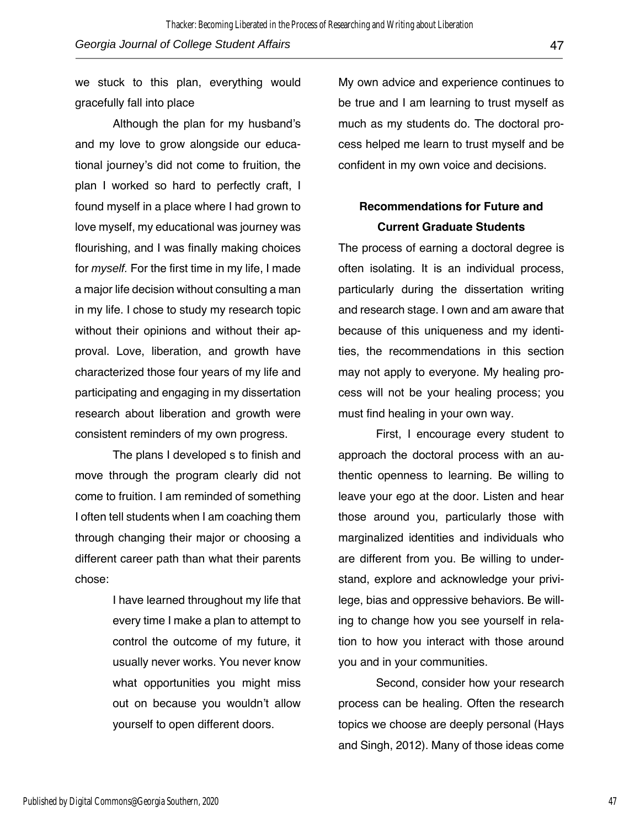we stuck to this plan, everything would gracefully fall into place

Although the plan for my husband's and my love to grow alongside our educational journey's did not come to fruition, the plan I worked so hard to perfectly craft, I found myself in a place where I had grown to love myself, my educational was journey was flourishing, and I was finally making choices for *myself.* For the first time in my life, I made a major life decision without consulting a man in my life. I chose to study my research topic without their opinions and without their approval. Love, liberation, and growth have characterized those four years of my life and participating and engaging in my dissertation research about liberation and growth were consistent reminders of my own progress.

The plans I developed s to finish and move through the program clearly did not come to fruition. I am reminded of something I often tell students when I am coaching them through changing their major or choosing a different career path than what their parents chose:

> I have learned throughout my life that every time I make a plan to attempt to control the outcome of my future, it usually never works. You never know what opportunities you might miss out on because you wouldn't allow yourself to open different doors.

My own advice and experience continues to be true and I am learning to trust myself as much as my students do. The doctoral process helped me learn to trust myself and be confident in my own voice and decisions.

# **Recommendations for Future and Current Graduate Students**

The process of earning a doctoral degree is often isolating. It is an individual process, particularly during the dissertation writing and research stage. I own and am aware that because of this uniqueness and my identities, the recommendations in this section may not apply to everyone. My healing process will not be your healing process; you must find healing in your own way.

First, I encourage every student to approach the doctoral process with an authentic openness to learning. Be willing to leave your ego at the door. Listen and hear those around you, particularly those with marginalized identities and individuals who are different from you. Be willing to understand, explore and acknowledge your privilege, bias and oppressive behaviors. Be willing to change how you see yourself in relation to how you interact with those around you and in your communities.

Second, consider how your research process can be healing. Often the research topics we choose are deeply personal (Hays and Singh, 2012). Many of those ideas come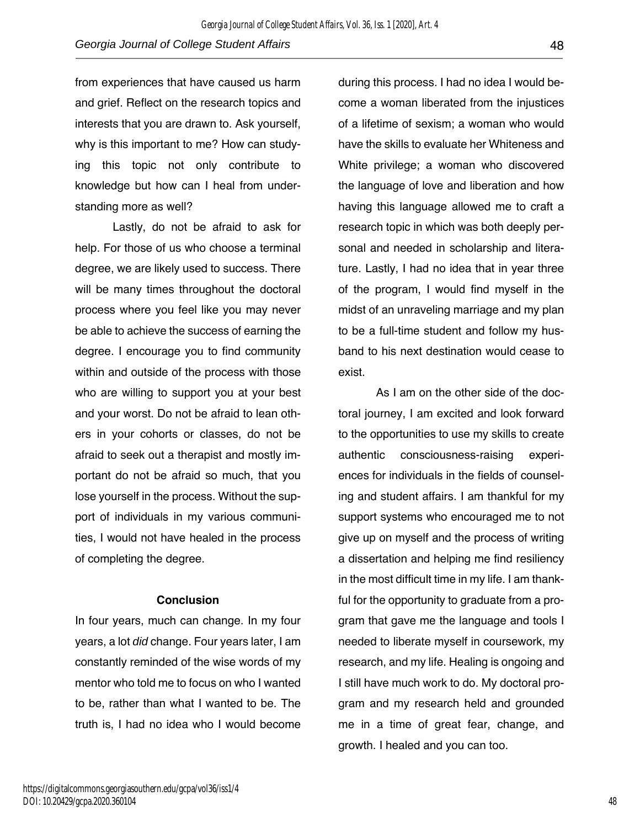from experiences that have caused us harm and grief. Reflect on the research topics and interests that you are drawn to. Ask yourself, why is this important to me? How can studying this topic not only contribute to knowledge but how can I heal from understanding more as well?

Lastly, do not be afraid to ask for help. For those of us who choose a terminal degree, we are likely used to success. There will be many times throughout the doctoral process where you feel like you may never be able to achieve the success of earning the degree. I encourage you to find community within and outside of the process with those who are willing to support you at your best and your worst. Do not be afraid to lean others in your cohorts or classes, do not be afraid to seek out a therapist and mostly important do not be afraid so much, that you lose yourself in the process. Without the support of individuals in my various communities, I would not have healed in the process of completing the degree.

#### **Conclusion**

In four years, much can change. In my four years, a lot *did* change. Four years later, I am constantly reminded of the wise words of my mentor who told me to focus on who I wanted to be, rather than what I wanted to be. The truth is, I had no idea who I would become

during this process. I had no idea I would become a woman liberated from the injustices of a lifetime of sexism; a woman who would have the skills to evaluate her Whiteness and White privilege; a woman who discovered the language of love and liberation and how having this language allowed me to craft a research topic in which was both deeply personal and needed in scholarship and literature. Lastly, I had no idea that in year three of the program, I would find myself in the midst of an unraveling marriage and my plan to be a full-time student and follow my husband to his next destination would cease to exist.

As I am on the other side of the doctoral journey, I am excited and look forward to the opportunities to use my skills to create authentic consciousness-raising experiences for individuals in the fields of counseling and student affairs. I am thankful for my support systems who encouraged me to not give up on myself and the process of writing a dissertation and helping me find resiliency in the most difficult time in my life. I am thankful for the opportunity to graduate from a program that gave me the language and tools I needed to liberate myself in coursework, my research, and my life. Healing is ongoing and I still have much work to do. My doctoral program and my research held and grounded me in a time of great fear, change, and growth. I healed and you can too.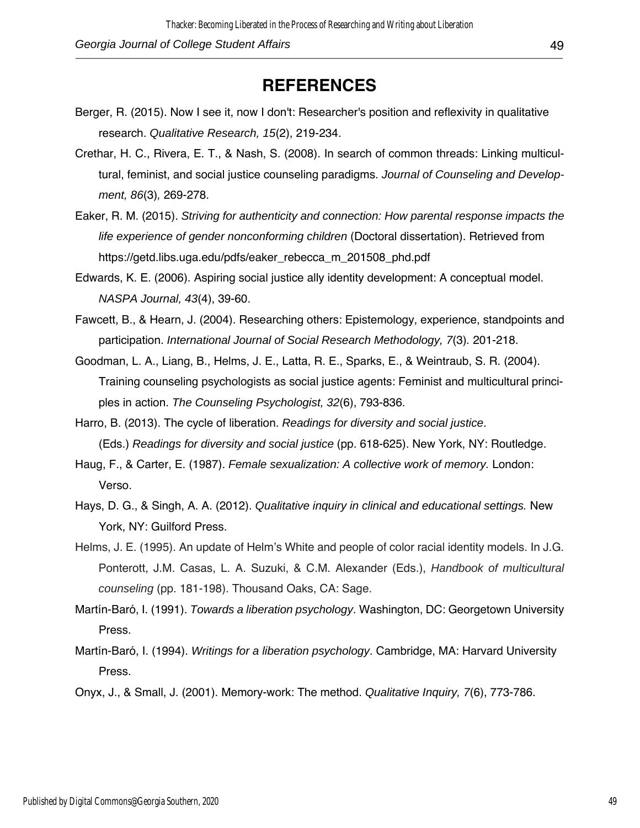# **REFERENCES**

- Berger, R. (2015). Now I see it, now I don't: Researcher's position and reflexivity in qualitative research. *Qualitative Research, 15*(2), 219-234.
- Crethar, H. C., Rivera, E. T., & Nash, S. (2008). In search of common threads: Linking multicultural, feminist, and social justice counseling paradigms. *Journal of Counseling and Development, 86*(3)*,* 269-278.
- Eaker, R. M. (2015). *Striving for authenticity and connection: How parental response impacts the life experience of gender nonconforming children* (Doctoral dissertation). Retrieved from https://getd.libs.uga.edu/pdfs/eaker\_rebecca\_m\_201508\_phd.pdf
- Edwards, K. E. (2006). Aspiring social justice ally identity development: A conceptual model. *NASPA Journal, 43*(4), 39-60.
- Fawcett, B., & Hearn, J. (2004). Researching others: Epistemology, experience, standpoints and participation. *International Journal of Social Research Methodology, 7*(3)*.* 201-218.
- Goodman, L. A., Liang, B., Helms, J. E., Latta, R. E., Sparks, E., & Weintraub, S. R. (2004). Training counseling psychologists as social justice agents: Feminist and multicultural principles in action. *The Counseling Psychologist, 32*(6), 793-836.
- Harro, B. (2013). The cycle of liberation. *Readings for diversity and social justice*. (Eds.) *Readings for diversity and social justice* (pp. 618-625). New York, NY: Routledge.
- Haug, F., & Carter, E. (1987). *Female sexualization: A collective work of memory.* London: Verso.
- Hays, D. G., & Singh, A. A. (2012). *Qualitative inquiry in clinical and educational settings.* New York, NY: Guilford Press.
- Helms, J. E. (1995). An update of Helm's White and people of color racial identity models. In J.G. Ponterott, J.M. Casas, L. A. Suzuki, & C.M. Alexander (Eds.), *Handbook of multicultural counseling* (pp. 181-198). Thousand Oaks, CA: Sage.
- Martín-Baró, I. (1991). *Towards a liberation psychology*. Washington, DC: Georgetown University Press.
- Martín-Baró, I. (1994). *Writings for a liberation psychology*. Cambridge, MA: Harvard University Press.
- Onyx, J., & Small, J. (2001). Memory-work: The method. *Qualitative Inquiry, 7*(6), 773-786.